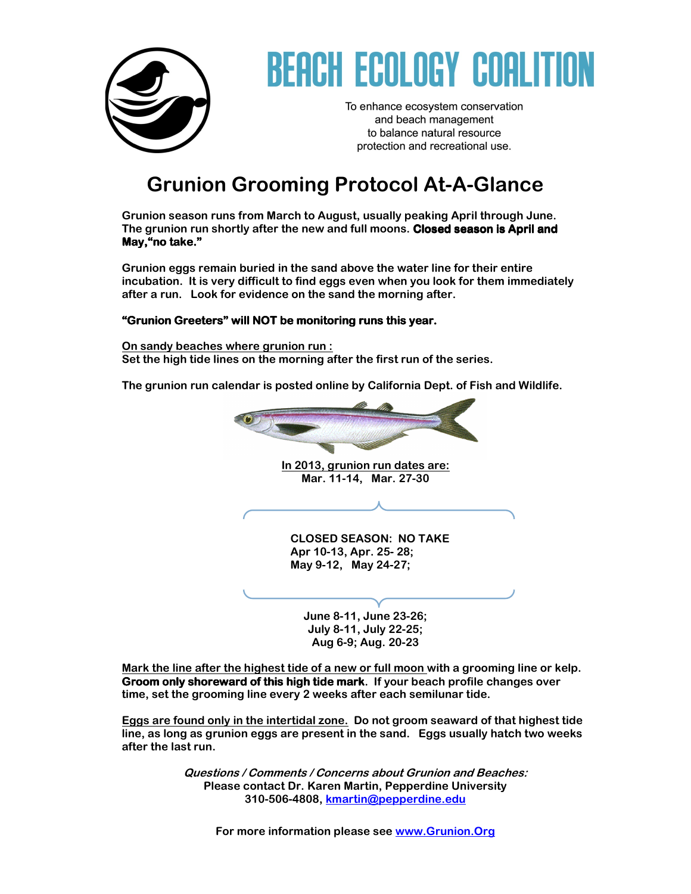

# REACH ECOLOGY COALI

To enhance ecosystem conservation and beach management to balance natural resource protection and recreational use.

### **Grunion Grooming Protocol At-A-Glance**

**Grunion season runs from March to August, usually peaking April through June.**  The grunion run shortly after the new and full moons. Closed season is April and **May,"no take." take."**

**Grunion eggs remain buried in the sand above the water line for their entire incubation. It is very difficult to find eggs even when you look for them immediately after a run. Look for evidence on the sand the morning after.** 

#### "Grunion Greeters" will NOT be monitoring runs this year.

**On sandy beaches where grunion run : Set the high tide lines on the morning after the first run of the series.** 

**The grunion run calendar is posted online by California Dept. of Fish and Wildlife.** 

**In 2013, grunion run dates are: Mar. 11-14, Mar. 27-30 CLOSED SEASON: NO TAKE Apr 10-13, Apr. 25- 28; May 9-12, May 24-27;** 

**June 8-11, June 23-26; July 8-11, July 22-25; Aug 6-9; Aug. 20-23** 

**Mark the line after the highest tide of a new or full moon with a grooming line or kelp. Groom only shoreward of this high tide mark.** If your beach profile changes over **time, set the grooming line every 2 weeks after each semilunar tide.** 

**Eggs are found only in the intertidal zone. Do not groom seaward of that highest tide line, as long as grunion eggs are present in the sand. Eggs usually hatch two weeks after the last run.** 

> **Questions / Comments / Concerns about Grunion and Beaches: Please contact Dr. Karen Martin, Pepperdine University 310-506-4808, kmartin@pepperdine.edu**

**For more information please see www.Grunion.Org**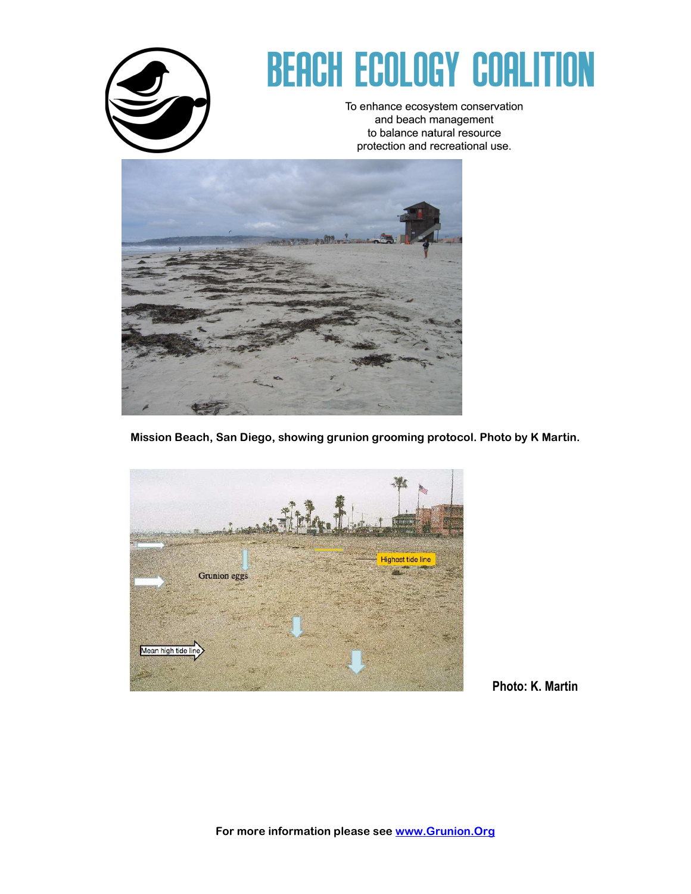

# **BEACH ECOLOGY COALITION**

To enhance ecosystem conservation and beach management to balance natural resource protection and recreational use.



**Mission Beach, San Diego, showing grunion grooming protocol. Photo by K Martin.** 



Photo: K. Martin

**For more information please see www.Grunion.Org**